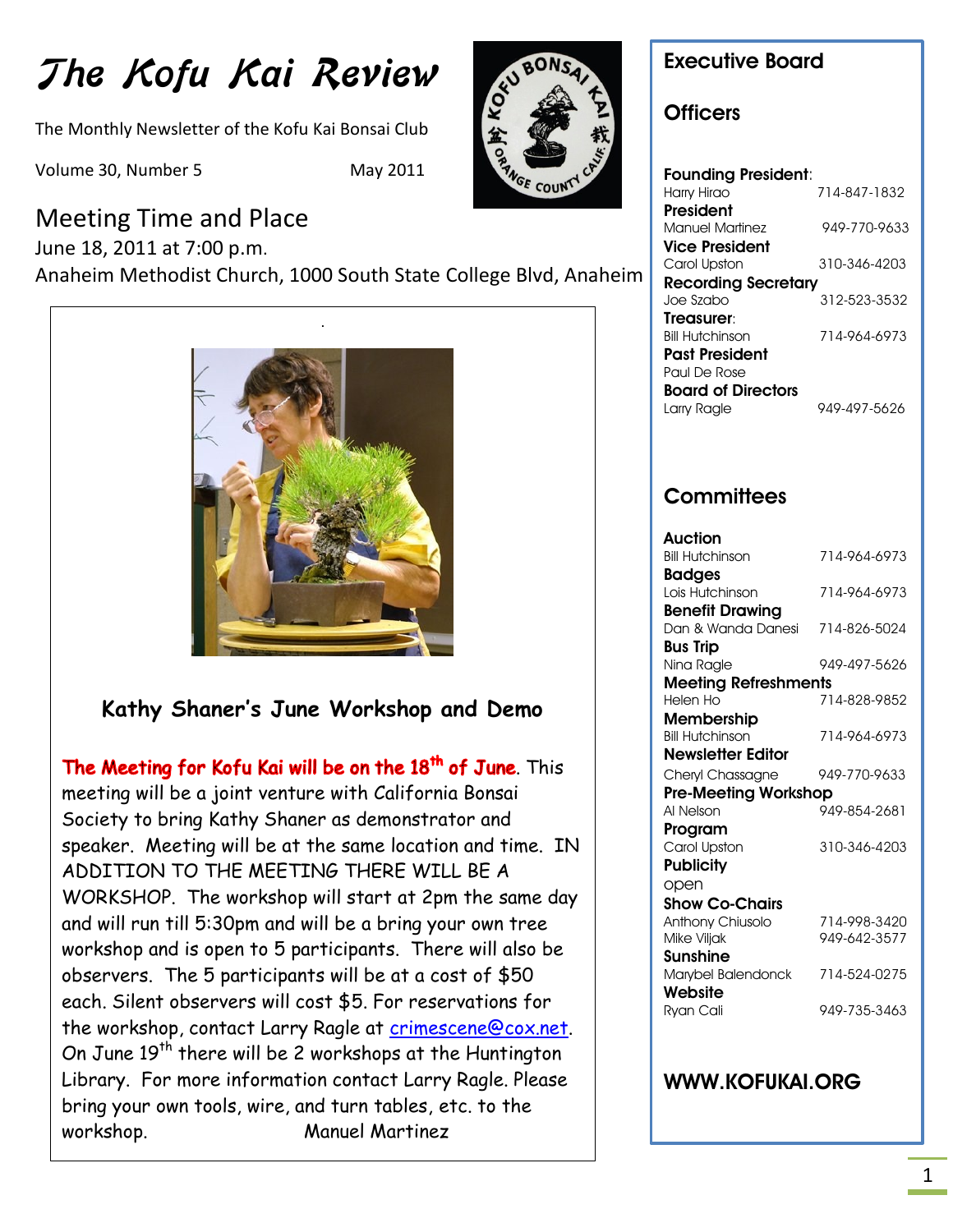# The Kofu Kai Review

The Monthly Newsletter of the Kofu Kai Bonsai Club

Volume 30, Number 5 May 2011



June 18, 2011 at 7:00 p.m. Anaheim Methodist Church, 1000 South State College Blvd, Anaheim



## **Kathy Shaner's June Workshop and Demo**

**UPCOMING EVENTS**

The Meeting for Kofu Kai will be on the 18<sup>th</sup> of June. This meeting will be a joint venture with California Bonsai Society to bring Kathy Shaner as demonstrator and speaker. Meeting will be at the same location and time. IN ADDITION TO THE MEETING THERE WILL BE A WORKSHOP. The workshop will start at 2pm the same day and will run till 5:30pm and will be a bring your own tree workshop and is open to 5 participants. There will also be observers. The 5 participants will be at a cost of \$50 each. Silent observers will cost \$5. For reservations for the workshop, contact Larry Ragle at [crimescene@cox.net.](mailto:crimescene@cox.net) On June  $19<sup>th</sup>$  there will be 2 workshops at the Huntington Library. For more information contact Larry Ragle. Please bring your own tools, wire, and turn tables, etc. to the workshop. Manuel Martinez

# **Executive Board Officers**

#### **Founding President**: Harry Hirao 714-847-1832 **President** Manuel Martinez 949-770-9633 **Vice President** Carol Upston 310-346-4203 **Recording Secretary** Joe Szabo 312-523-3532 **Treasurer**: Bill Hutchinson 714-964-6973 **Past President** Paul De Rose **Board of Directors** Larry Ragle 949-497-5626

## **Committees**

| Auction                     |              |
|-----------------------------|--------------|
| <b>Bill Hutchinson</b>      | 714-964-6973 |
| <b>Badges</b>               |              |
| Lois Hutchinson             | 714-964-6973 |
| <b>Benefit Drawing</b>      |              |
| Dan & Wanda Danesi          | 714-826-5024 |
| <b>Bus Trip</b>             |              |
| Nina Ragle                  | 949-497-5626 |
| <b>Meeting Refreshments</b> |              |
| Helen Ho                    | 714-828-9852 |
| Membership                  |              |
| <b>Bill Hutchinson</b>      | 714-964-6973 |
| Newsletter Editor           |              |
| Cheryl Chassagne            | 949-770-9633 |
| <b>Pre-Meeting Workshop</b> |              |
| Al Nelson                   | 949-854-2681 |
| Program                     |              |
| Carol Upston                | 310-346-4203 |
| <b>Publicity</b>            |              |
| open                        |              |
| <b>Show Co-Chairs</b>       |              |
| Anthony Chiusolo            | 714-998-3420 |
| Mike Viljak                 | 949-642-3577 |
| Sunshine                    |              |
| Marybel Balendonck          | 714-524-0275 |
| Website                     |              |
| Ryan Cali                   | 949-735-3463 |

### **WWW.KOFUKAI.ORG**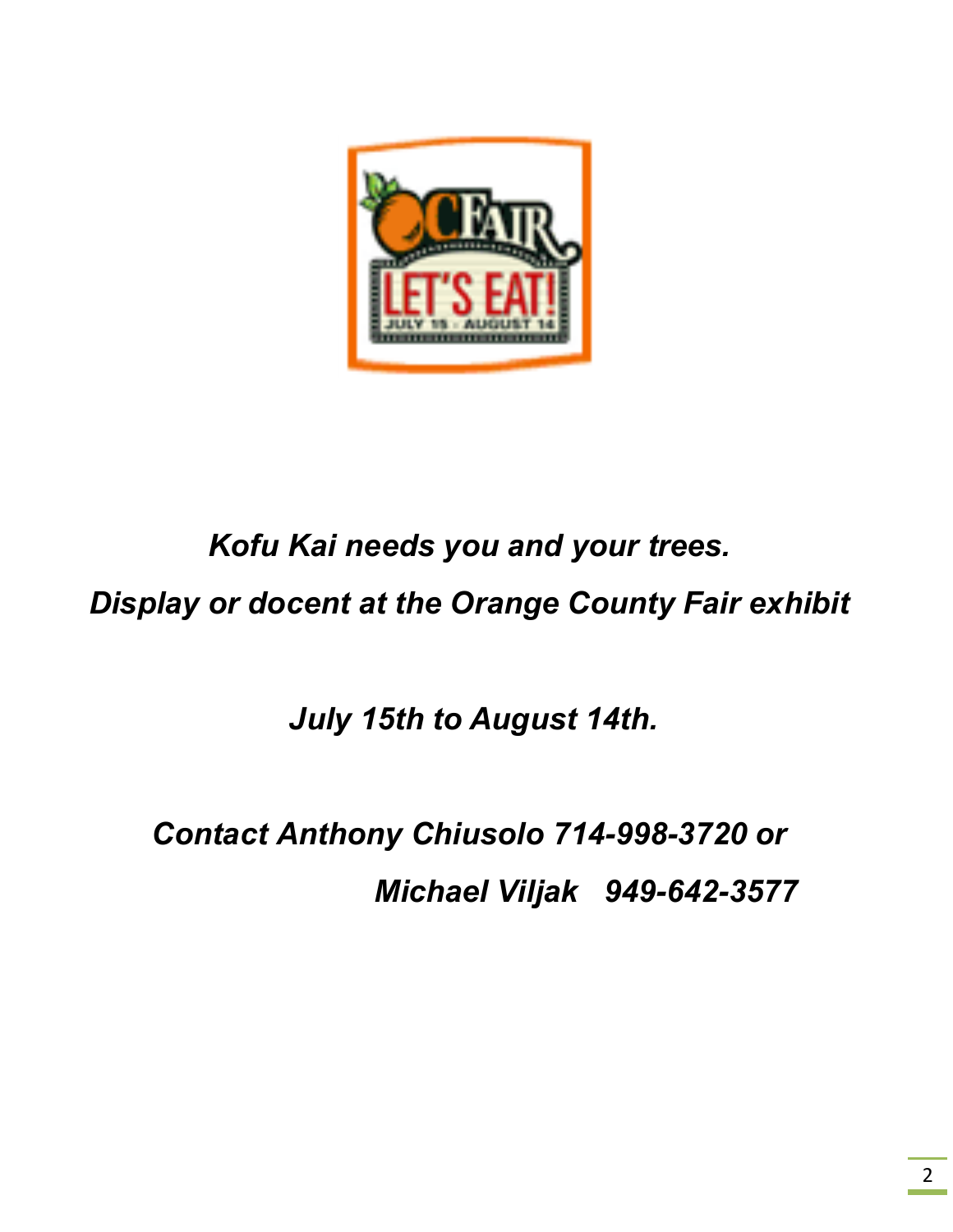

# *Kofu Kai needs you and your trees.*

*Display or docent at the Orange County Fair exhibit*

*July 15th to August 14th.*

*Contact Anthony Chiusolo 714-998-3720 or Michael Viljak 949-642-3577*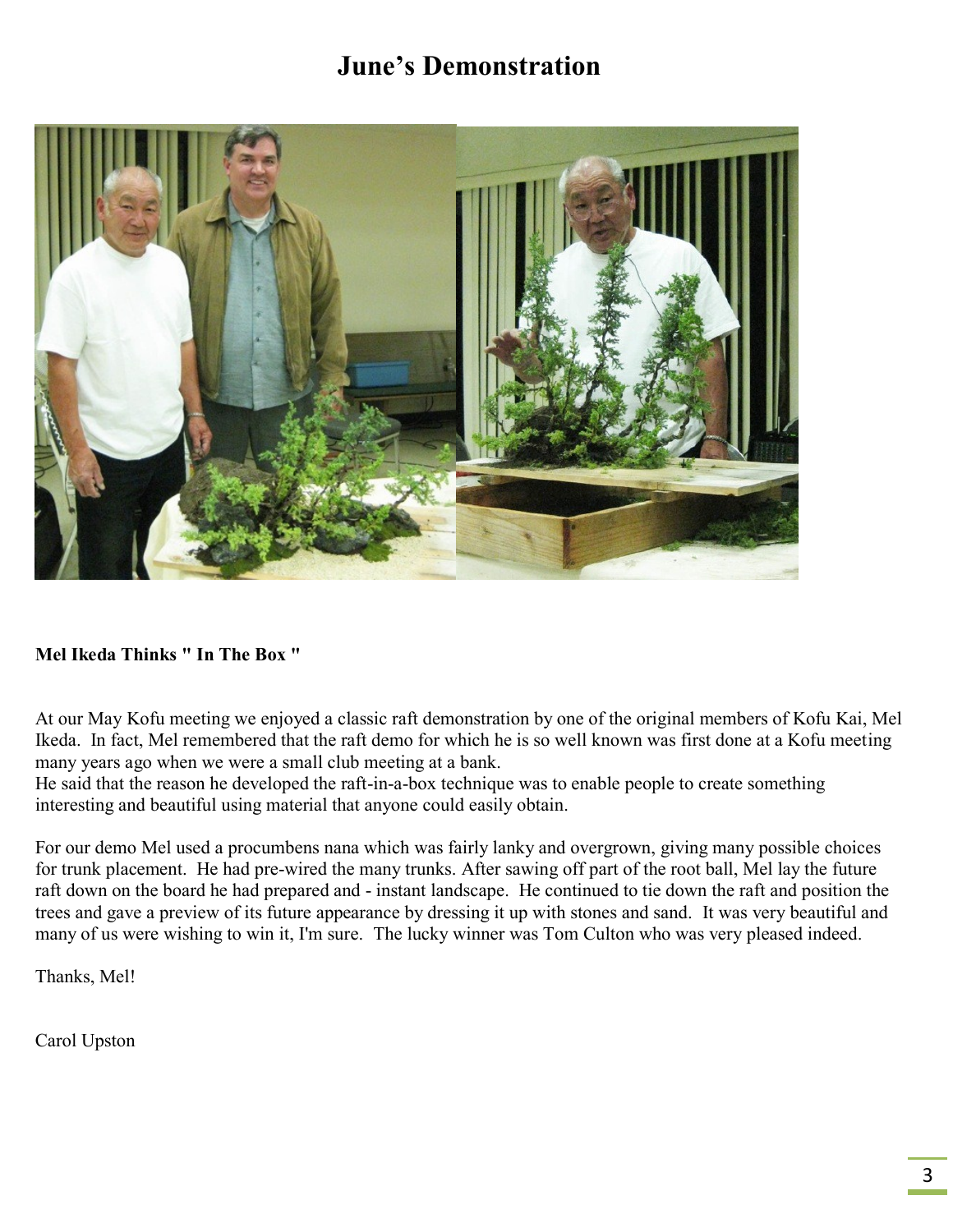# **June's Demonstration**



#### **Mel Ikeda Thinks " In The Box "**

At our May Kofu meeting we enjoyed a classic raft demonstration by one of the original members of Kofu Kai, Mel Ikeda. In fact, Mel remembered that the raft demo for which he is so well known was first done at a Kofu meeting many years ago when we were a small club meeting at a bank.

He said that the reason he developed the raft-in-a-box technique was to enable people to create something interesting and beautiful using material that anyone could easily obtain.

For our demo Mel used a procumbens nana which was fairly lanky and overgrown, giving many possible choices for trunk placement. He had pre-wired the many trunks. After sawing off part of the root ball, Mel lay the future raft down on the board he had prepared and - instant landscape. He continued to tie down the raft and position the trees and gave a preview of its future appearance by dressing it up with stones and sand. It was very beautiful and many of us were wishing to win it, I'm sure. The lucky winner was Tom Culton who was very pleased indeed.

Thanks, Mel!

Carol Upston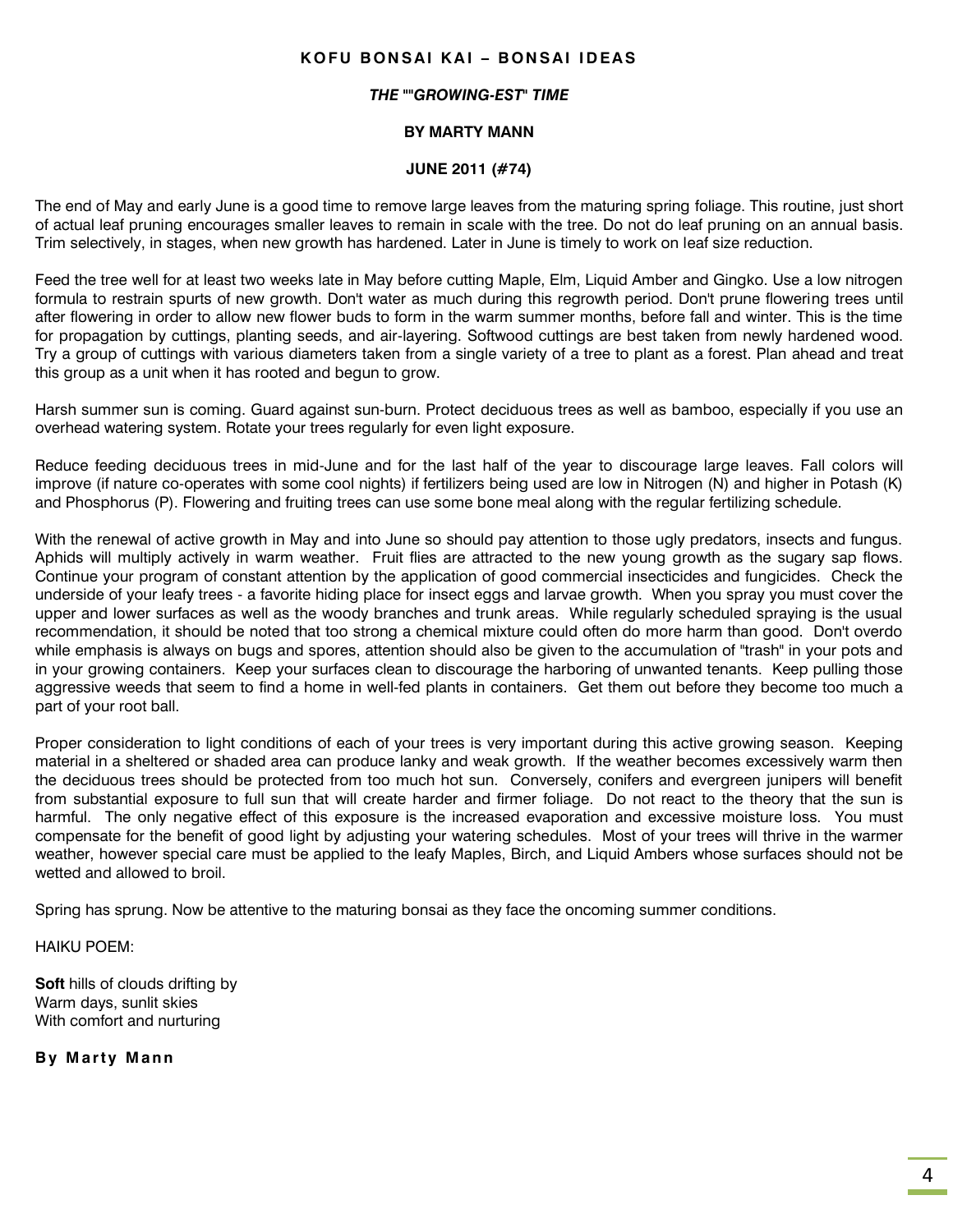#### **K O F U B ON S AI K A I – B ON S AI I D EA S**

#### *THE ""GROWING-EST" TIME*

#### **BY MARTY MANN**

#### **JUNE 2011 (#74)**

The end of May and early June is a good time to remove large leaves from the maturing spring foliage. This routine, just short of actual leaf pruning encourages smaller leaves to remain in scale with the tree. Do not do leaf pruning on an annual basis. Trim selectively, in stages, when new growth has hardened. Later in June is timely to work on leaf size reduction.

Feed the tree well for at least two weeks late in May before cutting Maple, Elm, Liquid Amber and Gingko. Use a low nitrogen formula to restrain spurts of new growth. Don't water as much during this regrowth period. Don't prune flowering trees until after flowering in order to allow new flower buds to form in the warm summer months, before fall and winter. This is the time for propagation by cuttings, planting seeds, and air-layering. Softwood cuttings are best taken from newly hardened wood. Try a group of cuttings with various diameters taken from a single variety of a tree to plant as a forest. Plan ahead and treat this group as a unit when it has rooted and begun to grow.

Harsh summer sun is coming. Guard against sun-burn. Protect deciduous trees as well as bamboo, especially if you use an overhead watering system. Rotate your trees regularly for even light exposure.

Reduce feeding deciduous trees in mid-June and for the last half of the year to discourage large leaves. Fall colors will improve (if nature co-operates with some cool nights) if fertilizers being used are low in Nitrogen (N) and higher in Potash (K) and Phosphorus (P). Flowering and fruiting trees can use some bone meal along with the regular fertilizing schedule.

With the renewal of active growth in May and into June so should pay attention to those ugly predators, insects and fungus. Aphids will multiply actively in warm weather. Fruit flies are attracted to the new young growth as the sugary sap flows. Continue your program of constant attention by the application of good commercial insecticides and fungicides. Check the underside of your leafy trees - a favorite hiding place for insect eggs and larvae growth. When you spray you must cover the upper and lower surfaces as well as the woody branches and trunk areas. While regularly scheduled spraying is the usual recommendation, it should be noted that too strong a chemical mixture could often do more harm than good. Don't overdo while emphasis is always on bugs and spores, attention should also be given to the accumulation of "trash" in your pots and in your growing containers. Keep your surfaces clean to discourage the harboring of unwanted tenants. Keep pulling those aggressive weeds that seem to find a home in well-fed plants in containers. Get them out before they become too much a part of your root ball.

Proper consideration to light conditions of each of your trees is very important during this active growing season. Keeping material in a sheltered or shaded area can produce lanky and weak growth. If the weather becomes excessively warm then the deciduous trees should be protected from too much hot sun. Conversely, conifers and evergreen junipers will benefit from substantial exposure to full sun that will create harder and firmer foliage. Do not react to the theory that the sun is harmful. The only negative effect of this exposure is the increased evaporation and excessive moisture loss. You must compensate for the benefit of good light by adjusting your watering schedules. Most of your trees will thrive in the warmer weather, however special care must be applied to the leafy Maples, Birch, and Liquid Ambers whose surfaces should not be wetted and allowed to broil.

Spring has sprung. Now be attentive to the maturing bonsai as they face the oncoming summer conditions.

HAIKU POEM:

**Soft** hills of clouds drifting by Warm days, sunlit skies With comfort and nurturing

**By Marty Mann**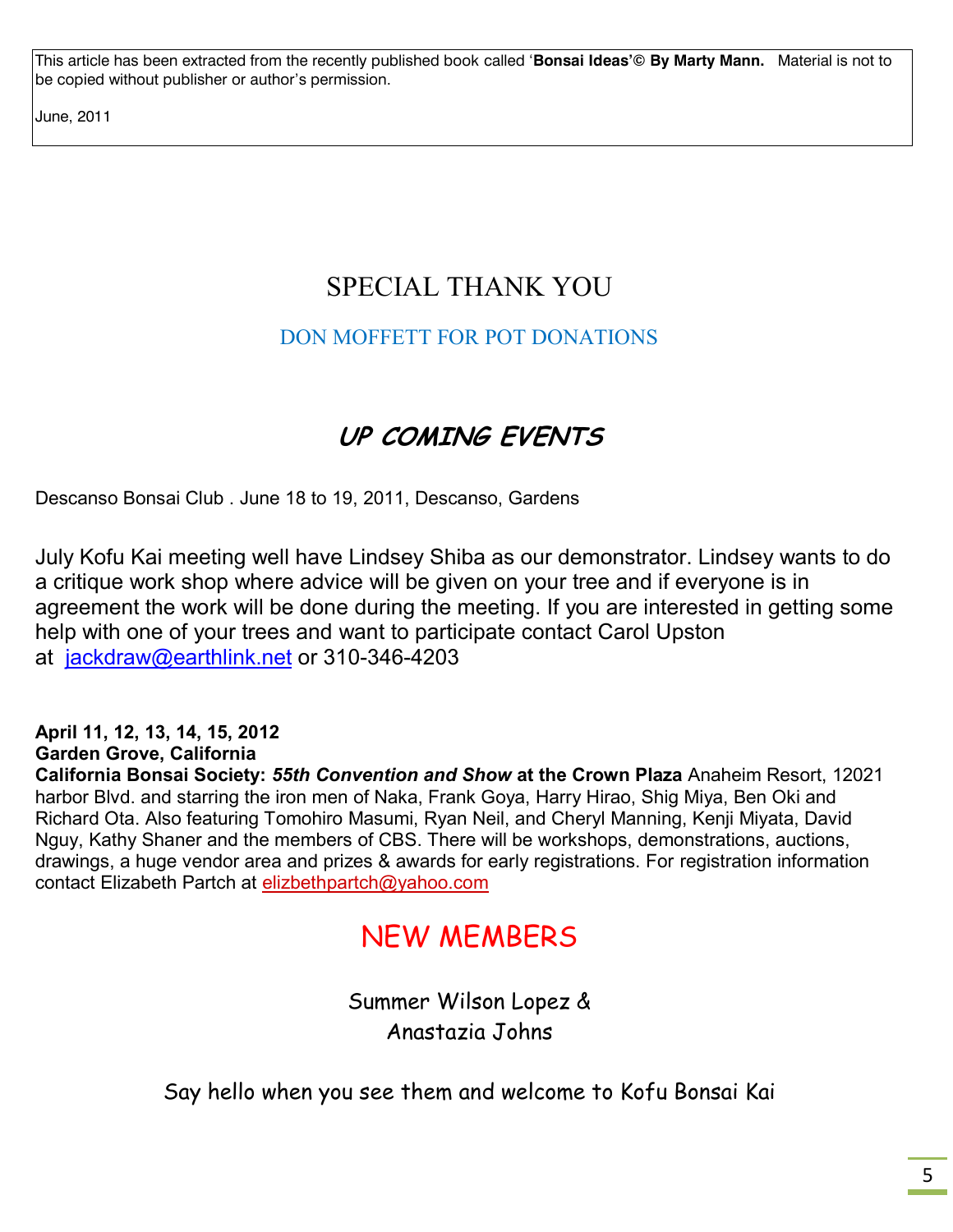This article has been extracted from the recently published book called '**Bonsai Ideas'© By Marty Mann.** Material is not to be copied without publisher or author's permission.

June, 2011

# SPECIAL THANK YOU

### DON MOFFETT FOR POT DONATIONS

# **UP COMING EVENTS**

Descanso Bonsai Club . June 18 to 19, 2011, Descanso, Gardens

July Kofu Kai meeting well have Lindsey Shiba as our demonstrator. Lindsey wants to do a critique work shop where advice will be given on your tree and if everyone is in agreement the work will be done during the meeting. If you are interested in getting some help with one of your trees and want to participate contact Carol Upston at [jackdraw@earthlink.net](mailto:jackdraw@earthlink.net) or 310-346-4203

### **April 11, 12, 13, 14, 15, 2012**

### **Garden Grove, California**

**California Bonsai Society:** *55th Convention and Show* **at the Crown Plaza** Anaheim Resort, 12021 harbor Blvd. and starring the iron men of Naka, Frank Goya, Harry Hirao, Shig Miya, Ben Oki and Richard Ota. Also featuring Tomohiro Masumi, Ryan Neil, and Cheryl Manning, Kenji Miyata, David Nguy, Kathy Shaner and the members of CBS. There will be workshops, demonstrations, auctions, drawings, a huge vendor area and prizes & awards for early registrations. For registration information contact Elizabeth Partch at [elizbethpartch@yahoo.com](mailto:elizbethpartch@yahoo.com)

# NEW MEMBERS

Summer Wilson Lopez & Anastazia Johns

Say hello when you see them and welcome to Kofu Bonsai Kai